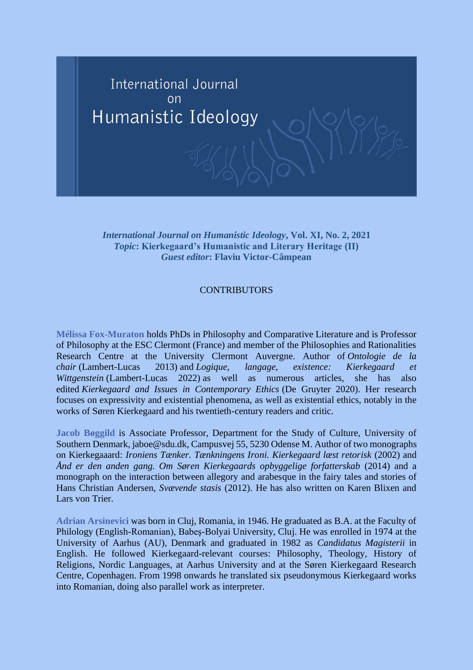

*International Journal on Humanistic Ideology***, Vol. XI, No. 2, 2021** *Topic***: Kierkegaard's Humanistic and Literary Heritage (II)** *Guest editor***: Flaviu Victor-Câmpean**

## **CONTRIBUTORS**

**Mélissa Fox-Muraton** holds PhDs in Philosophy and Comparative Literature and is Professor of Philosophy at the ESC Clermont (France) and member of the Philosophies and Rationalities Research Centre at the University Clermont Auvergne. Author of *Ontologie de la chair* (Lambert-Lucas 2013) and *Logique, langage, existence: Kierkegaard et Wittgenstein* (Lambert-Lucas 2022) as well as numerous articles, she has also edited *Kierkegaard and Issues in Contemporary Ethics* (De Gruyter 2020). Her research focuses on expressivity and existential phenomena, as well as existential ethics, notably in the works of Søren Kierkegaard and his twentieth-century readers and critic.

**Jacob Bøggild** is Associate Professor, Department for the Study of Culture, University of Southern Denmark, jaboe@sdu.dk, Campusvej 55, 5230 Odense M. Author of two monographs on Kierkegaaard: *Ironiens Tænker. Tænkningens Ironi. Kierkegaard læst retorisk* (2002) and *Ånd er den anden gang. Om Søren Kierkegaards opbyggelige forfatterskab* (2014) and a monograph on the interaction between allegory and arabesque in the fairy tales and stories of Hans Christian Andersen, *Svævende stasis* (2012). He has also written on Karen Blixen and Lars von Trier

**Adrian Arsinevici** was born in Cluj, Romania, in 1946. He graduated as B.A. at the Faculty of Philology (English-Romanian), Babeş-Bolyai University, Cluj. He was enrolled in 1974 at the University of Aarhus (AU), Denmark and graduated in 1982 as *Candidatus Magisterii* in English. He followed Kierkegaard-relevant courses: Philosophy, Theology, History of Religions, Nordic Languages, at Aarhus University and at the Søren Kierkegaard Research Centre, Copenhagen. From 1998 onwards he translated six pseudonymous Kierkegaard works into Romanian, doing also parallel work as interpreter.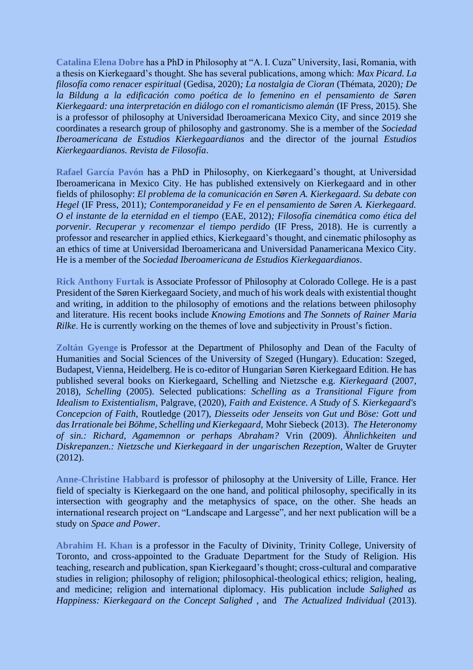**Catalina Elena Dobre** has a PhD in Philosophy at "A. I. Cuza" University, Iasi, Romania, with a thesis on Kierkegaard's thought. She has several publications, among which: *Max Picard. La filosofía como renacer espiritual* (Gedisa, 2020)*; La nostalgia de Cioran* (Thémata, 2020)*; De la Bildung a la edificación como poética de lo femenino en el pensamiento de Søren Kierkegaard: una interpretación en diálogo con el romanticismo alemán* (IF Press, 2015). She is a professor of philosophy at Universidad Iberoamericana Mexico City, and since 2019 she coordinates a research group of philosophy and gastronomy. She is a member of the *Sociedad Iberoamericana de Estudios Kierkegaardianos* and the director of the journal *Estudios Kierkegaardianos. Revista de Filosofía*.

**Rafael García Pavón** has a PhD in Philosophy, on Kierkegaard's thought, at Universidad Iberoamericana in Mexico City. He has published extensively on Kierkegaard and in other fields of philosophy: *El problema de la comunicación en Søren A. Kierkegaard. Su debate con Hegel* (IF Press, 2011)*; Contemporaneidad y Fe en el pensamiento de Søren A. Kierkegaard. O el instante de la eternidad en el tiempo* (EAE, 2012)*; Filosofía cinemática como ética del porvenir. Recuperar y recomenzar el tiempo perdido* (IF Press, 2018). He is currently a professor and researcher in applied ethics, Kierkegaard's thought, and cinematic philosophy as an ethics of time at Universidad Iberoamericana and Universidad Panamericana Mexico City. He is a member of the *Sociedad Iberoamericana de Estudios Kierkegaardianos*.

**Rick Anthony Furtak** is Associate Professor of Philosophy at Colorado College. He is a past President of the Søren Kierkegaard Society, and much of his work deals with existential thought and writing, in addition to the philosophy of emotions and the relations between philosophy and literature. His recent books include *Knowing Emotions* and *The Sonnets of Rainer Maria Rilke*. He is currently working on the themes of love and subjectivity in Proust's fiction.

**Zoltán Gyenge** is Professor at the Department of Philosophy and Dean of the Faculty of Humanities and Social Sciences of the University of Szeged (Hungary). Education: Szeged, Budapest, Vienna, Heidelberg. He is co-editor of Hungarian Søren Kierkegaard Edition. He has published several books on Kierkegaard, Schelling and Nietzsche e.g. *Kierkegaard* (2007, 2018), *Schelling* (2005). Selected publications: *Schelling as a Transitional Figure from Idealism to Existentialism,* Palgrave, (2020), *Faith and Existence. A Study of S. Kierkegaard's Concepcion of Faith*, Routledge (2017), *Diesseits oder Jenseits von Gut und Böse: Gott und das Irrationale bei Böhme, Schelling und Kierkegaard,* Mohr Siebeck (2013). *The Heteronomy of sin.: Richard, Agamemnon or perhaps Abraham?* Vrin (2009). *Ähnlichkeiten und Diskrepanzen.: Nietzsche und Kierkegaard in der ungarischen Rezeption,* Walter de Gruyter (2012).

**Anne-Christine Habbard** is professor of philosophy at the University of Lille, France. Her field of specialty is Kierkegaard on the one hand, and political philosophy, specifically in its intersection with geography and the metaphysics of space, on the other. She heads an international research project on "Landscape and Largesse", and her next publication will be a study on *Space and Power*.

**Abrahim H. Khan** is a professor in the Faculty of Divinity, Trinity College, University of Toronto, and cross-appointed to the Graduate Department for the Study of Religion. His teaching, research and publication, span Kierkegaard's thought; cross-cultural and comparative studies in religion; philosophy of religion; philosophical-theological ethics; religion, healing, and medicine; religion and international diplomacy. His publication include *Salighed as Happiness: Kierkegaard on the Concept Salighed* , and *The Actualized Individual* (2013).